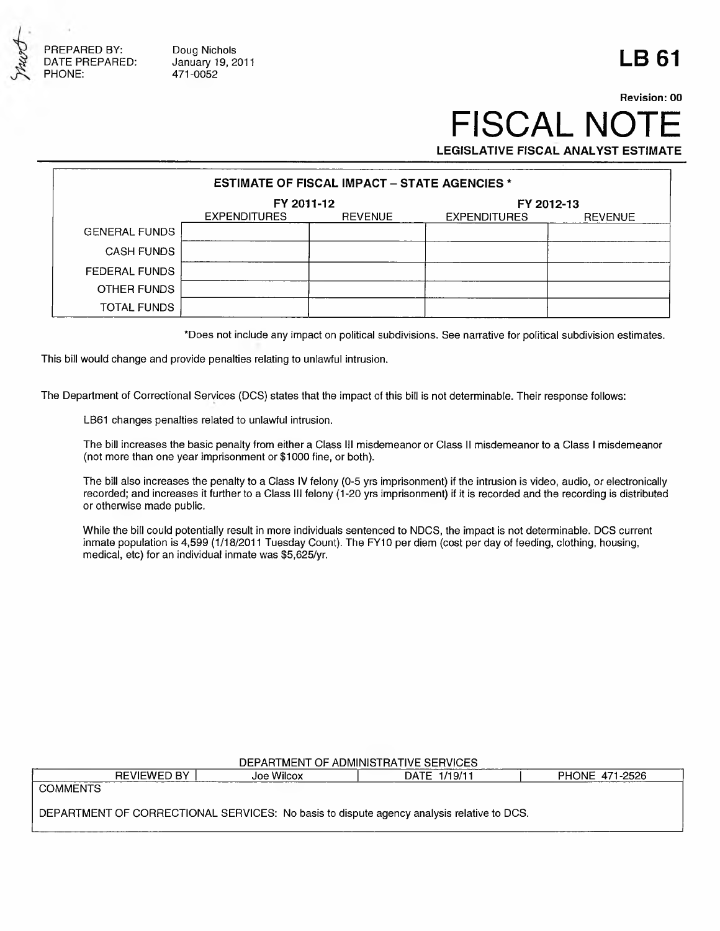

Doug Nichols January 19, 2011 471-0052

## **LB 61**

## **Revision: 00** FISCAL N **LEGISLATIVE FISCAL ANALYST ESTIMATE**

| <b>ESTIMATE OF FISCAL IMPACT - STATE AGENCIES *</b> |                     |                |                     |                |  |
|-----------------------------------------------------|---------------------|----------------|---------------------|----------------|--|
|                                                     | FY 2011-12          |                | FY 2012-13          |                |  |
|                                                     | <b>EXPENDITURES</b> | <b>REVENUE</b> | <b>EXPENDITURES</b> | <b>REVENUE</b> |  |
| <b>GENERAL FUNDS</b>                                |                     |                |                     |                |  |
| <b>CASH FUNDS</b>                                   |                     |                |                     |                |  |
| <b>FEDERAL FUNDS</b>                                |                     |                |                     |                |  |
| OTHER FUNDS                                         |                     |                |                     |                |  |
| <b>TOTAL FUNDS</b>                                  |                     |                |                     |                |  |

\*Does not include any impact on political subdivisions. See narrative for political subdivision estimates.

This bill would change and provide penalties relating to unlawful intrusion.

The Department of Correctional Services (DCS) states that the impact of this bill is not determinable. Their response follows:

LB61 changes penalties related to unlawful intrusion.

The bill increases the basic penalty from either a Class III misdemeanor or Class II misdemeanor to a Class I misdemeanor (not more than one year imprisonment or \$1000 fine, or both).

The bill also increases the penalty to a Class IV felony (0-5 yrs imprisonment) if the intrusion is video, audio, or electronically recorded; and increases it further to a Class III felony (1-20 yrs imprisonment) if it is recorded and the recording is distributed or otherwise made public.

While the bill could potentially result in more individuals sentenced to NDCS, the impact is not determinable. DCS current inmate population is 4,599 (1/18/2011 Tuesday Count). The FY10 per diem (cost per day of feeding, clothing, housing, medical, etc) for an individual inmate was \$5,625/yr.

## DEPARTMENT OF ADMINISTRATIVE SERVICES

|                 | REVIEWED BY | Joe Wilcox | DATF<br>1/19/11                                                                           | PHONE 471-2526 |
|-----------------|-------------|------------|-------------------------------------------------------------------------------------------|----------------|
| <b>COMMENTS</b> |             |            |                                                                                           |                |
|                 |             |            |                                                                                           |                |
|                 |             |            | DEPARTMENT OF CORRECTIONAL SERVICES: No basis to dispute agency analysis relative to DCS. |                |